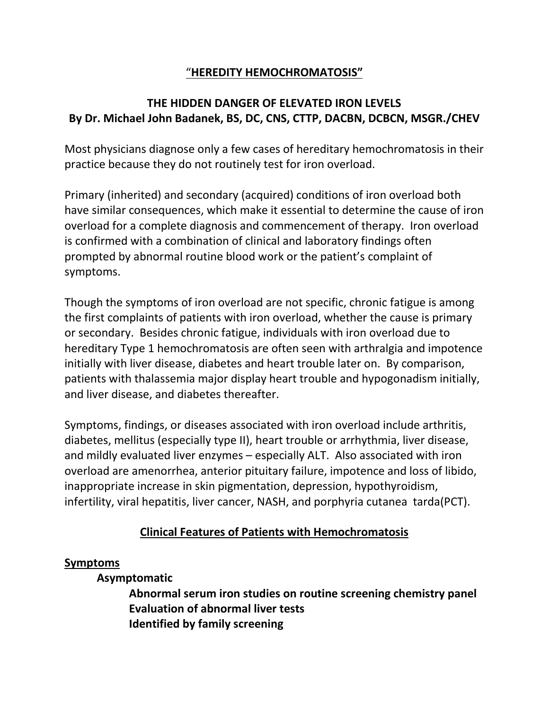# "**HEREDITY HEMOCHROMATOSIS"**

# **THE HIDDEN DANGER OF ELEVATED IRON LEVELS By Dr. Michael John Badanek, BS, DC, CNS, CTTP, DACBN, DCBCN, MSGR./CHEV**

Most physicians diagnose only a few cases of hereditary hemochromatosis in their practice because they do not routinely test for iron overload.

Primary (inherited) and secondary (acquired) conditions of iron overload both have similar consequences, which make it essential to determine the cause of iron overload for a complete diagnosis and commencement of therapy. Iron overload is confirmed with a combination of clinical and laboratory findings often prompted by abnormal routine blood work or the patient's complaint of symptoms.

Though the symptoms of iron overload are not specific, chronic fatigue is among the first complaints of patients with iron overload, whether the cause is primary or secondary. Besides chronic fatigue, individuals with iron overload due to hereditary Type 1 hemochromatosis are often seen with arthralgia and impotence initially with liver disease, diabetes and heart trouble later on. By comparison, patients with thalassemia major display heart trouble and hypogonadism initially, and liver disease, and diabetes thereafter.

Symptoms, findings, or diseases associated with iron overload include arthritis, diabetes, mellitus (especially type II), heart trouble or arrhythmia, liver disease, and mildly evaluated liver enzymes – especially ALT. Also associated with iron overload are amenorrhea, anterior pituitary failure, impotence and loss of libido, inappropriate increase in skin pigmentation, depression, hypothyroidism, infertility, viral hepatitis, liver cancer, NASH, and porphyria cutanea tarda(PCT).

# **Clinical Features of Patients with Hemochromatosis**

## **Symptoms**

## **Asymptomatic**

**Abnormal serum iron studies on routine screening chemistry panel Evaluation of abnormal liver tests Identified by family screening**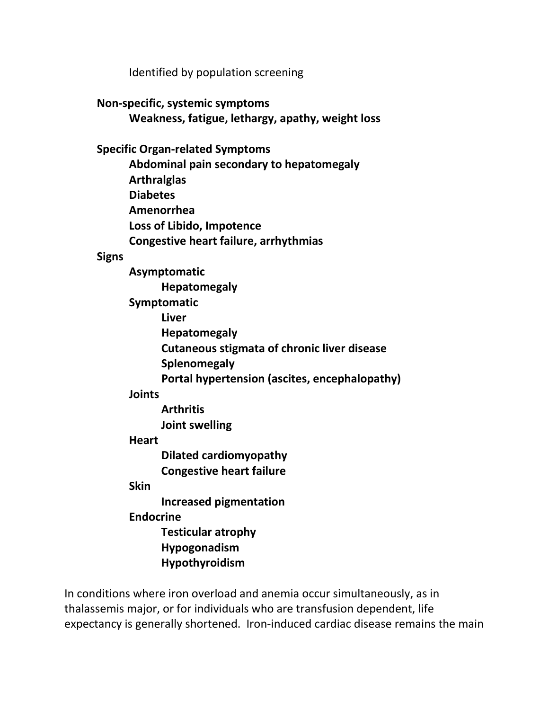Identified by population screening

## **Non-specific, systemic symptoms**

**Weakness, fatigue, lethargy, apathy, weight loss**

## **Specific Organ-related Symptoms**

**Abdominal pain secondary to hepatomegaly Arthralglas Diabetes Amenorrhea Loss of Libido, Impotence Congestive heart failure, arrhythmias**

#### **Signs**

**Asymptomatic Hepatomegaly Symptomatic Liver Hepatomegaly Cutaneous stigmata of chronic liver disease Splenomegaly Portal hypertension (ascites, encephalopathy)**

## **Joints**

**Arthritis Joint swelling**

## **Heart**

**Dilated cardiomyopathy**

**Congestive heart failure**

## **Skin**

**Increased pigmentation**

## **Endocrine**

**Testicular atrophy Hypogonadism**

## **Hypothyroidism**

In conditions where iron overload and anemia occur simultaneously, as in thalassemis major, or for individuals who are transfusion dependent, life expectancy is generally shortened. Iron-induced cardiac disease remains the main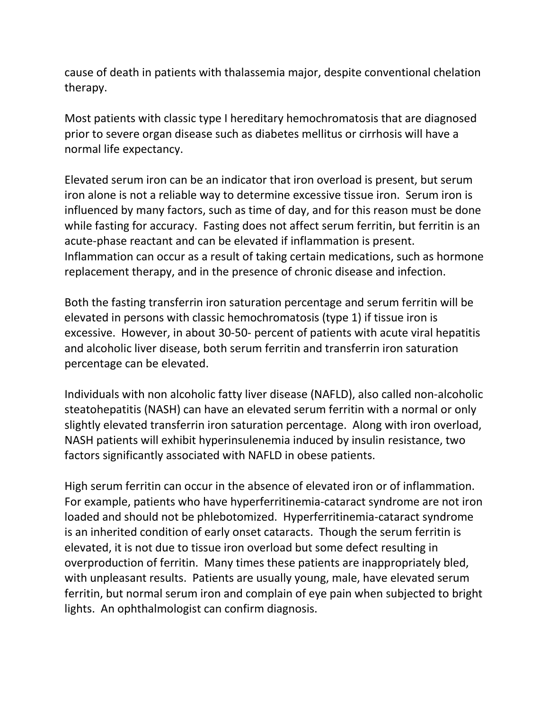cause of death in patients with thalassemia major, despite conventional chelation therapy.

Most patients with classic type I hereditary hemochromatosis that are diagnosed prior to severe organ disease such as diabetes mellitus or cirrhosis will have a normal life expectancy.

Elevated serum iron can be an indicator that iron overload is present, but serum iron alone is not a reliable way to determine excessive tissue iron. Serum iron is influenced by many factors, such as time of day, and for this reason must be done while fasting for accuracy. Fasting does not affect serum ferritin, but ferritin is an acute-phase reactant and can be elevated if inflammation is present. Inflammation can occur as a result of taking certain medications, such as hormone replacement therapy, and in the presence of chronic disease and infection.

Both the fasting transferrin iron saturation percentage and serum ferritin will be elevated in persons with classic hemochromatosis (type 1) if tissue iron is excessive. However, in about 30-50- percent of patients with acute viral hepatitis and alcoholic liver disease, both serum ferritin and transferrin iron saturation percentage can be elevated.

Individuals with non alcoholic fatty liver disease (NAFLD), also called non-alcoholic steatohepatitis (NASH) can have an elevated serum ferritin with a normal or only slightly elevated transferrin iron saturation percentage. Along with iron overload, NASH patients will exhibit hyperinsulenemia induced by insulin resistance, two factors significantly associated with NAFLD in obese patients.

High serum ferritin can occur in the absence of elevated iron or of inflammation. For example, patients who have hyperferritinemia-cataract syndrome are not iron loaded and should not be phlebotomized. Hyperferritinemia-cataract syndrome is an inherited condition of early onset cataracts. Though the serum ferritin is elevated, it is not due to tissue iron overload but some defect resulting in overproduction of ferritin. Many times these patients are inappropriately bled, with unpleasant results. Patients are usually young, male, have elevated serum ferritin, but normal serum iron and complain of eye pain when subjected to bright lights. An ophthalmologist can confirm diagnosis.